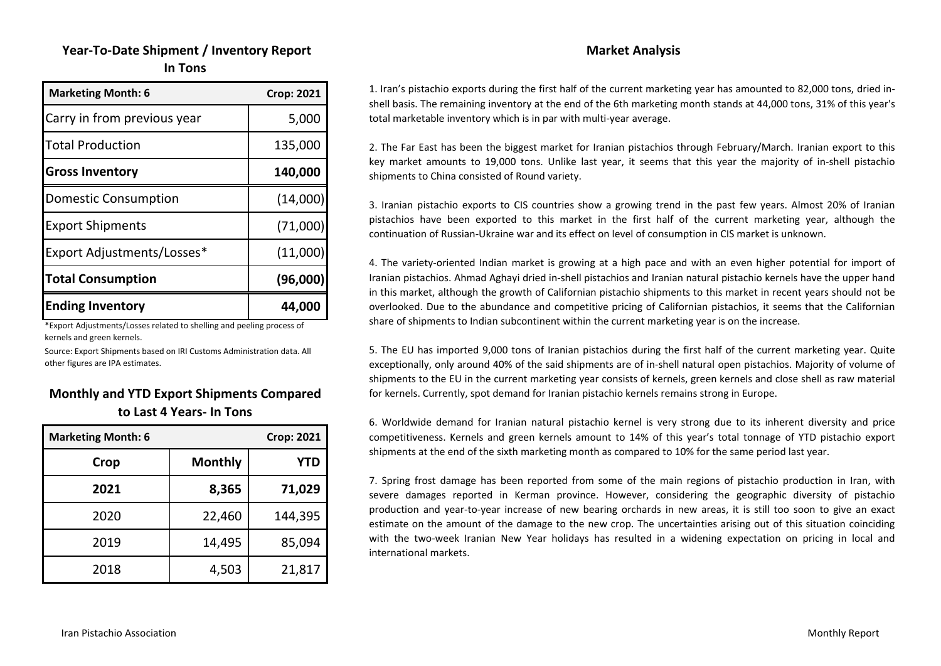# **Year‐To‐Date Shipment / Inventory Report In Tons**

| <b>Marketing Month: 6</b>   | <b>Crop: 2021</b> |
|-----------------------------|-------------------|
| Carry in from previous year | 5,000             |
| <b>Total Production</b>     | 135,000           |
| <b>Gross Inventory</b>      | 140,000           |
| <b>Domestic Consumption</b> | (14,000)          |
| <b>Export Shipments</b>     | (71,000)          |
| Export Adjustments/Losses*  | (11,000)          |
| <b>Total Consumption</b>    | (96,000)          |
| <b>Ending Inventory</b>     | 44,000            |

\*Export Adjustments/Losses related to shelling and peeling process of kernels and green kernels.

Source: Export Shipments based on IRI Customs Administration data. All other figures are IPA estimates.

#### **Monthly and YTD Export Shipments Compared to Last 4 Years‐ In Tons**

| <b>Marketing Month: 6</b> |                | <b>Crop: 2021</b> |
|---------------------------|----------------|-------------------|
| Crop                      | <b>Monthly</b> | YTD               |
| 2021                      | 8,365          | 71,029            |
| 2020                      | 22,460         | 144,395           |
| 2019                      | 14,495         | 85,094            |
| 2018                      | 4,503          | 21,817            |

#### **Market Analysis**

1. Iran's pistachio exports during the first half of the current marketing year has amounted to 82,000 tons, dried in‐ shell basis. The remaining inventory at the end of the 6th marketing month stands at 44,000 tons, 31% of this year's total marketable inventory which is in par with multi‐year average.

2. The Far East has been the biggest market for Iranian pistachios through February/March. Iranian export to this key market amounts to 19,000 tons. Unlike last year, it seems that this year the majority of in‐shell pistachio shipments to China consisted of Round variety.

3. Iranian pistachio exports to CIS countries show <sup>a</sup> growing trend in the past few years. Almost 20% of Iranian pistachios have been exported to this market in the first half of the current marketing year, although the continuation of Russian‐Ukraine war and its effect on level of consumption in CIS market is unknown.

4. The variety-oriented Indian market is growing at a high pace and with an even higher potential for import of Iranian pistachios. Ahmad Aghayi dried in‐shell pistachios and Iranian natural pistachio kernels have the upper hand in this market, although the growth of Californian pistachio shipments to this market in recent years should not be overlooked. Due to the abundance and competitive pricing of Californian pistachios, it seems that the Californian share of shipments to Indian subcontinent within the current marketing year is on the increase.

5. The EU has imported 9,000 tons of Iranian pistachios during the first half of the current marketing year. Quite exceptionally, only around 40% of the said shipments are of in‐shell natural open pistachios. Majority of volume of shipments to the EU in the current marketing year consists of kernels, green kernels and close shell as raw material for kernels. Currently, spot demand for Iranian pistachio kernels remains strong in Europe.

6. Worldwide demand for Iranian natural pistachio kernel is very strong due to its inherent diversity and price competitiveness. Kernels and green kernels amount to 14% of this year's total tonnage of YTD pistachio export shipments at the end of the sixth marketing month as compared to 10% for the same period last year.

7. Spring frost damage has been reported from some of the main regions of pistachio production in Iran, with severe damages reported in Kerman province. However, considering the geographic diversity of pistachio production and year‐to‐year increase of new bearing orchards in new areas, it is still too soon to give an exact estimate on the amount of the damage to the new crop. The uncertainties arising out of this situation coinciding with the two-week Iranian New Year holidays has resulted in a widening expectation on pricing in local and international markets.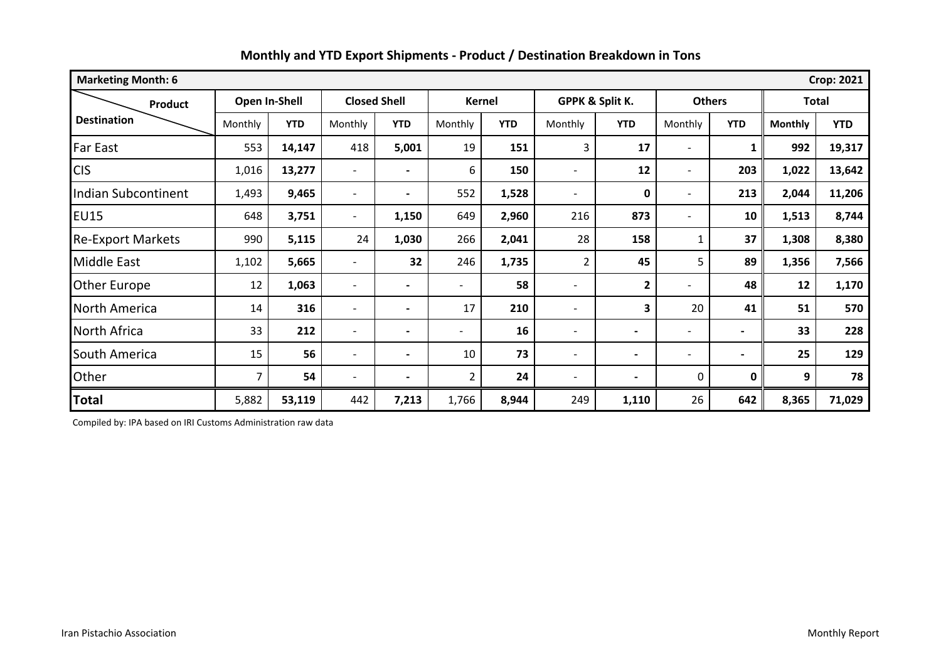| <b>Crop: 2021</b><br><b>Marketing Month: 6</b> |               |            |                          |                     |                          |            |                          |              |                          |            |                |            |
|------------------------------------------------|---------------|------------|--------------------------|---------------------|--------------------------|------------|--------------------------|--------------|--------------------------|------------|----------------|------------|
| <b>Product</b>                                 | Open In-Shell |            |                          | <b>Closed Shell</b> | <b>Kernel</b>            |            | GPPK & Split K.          |              | <b>Others</b>            |            | <b>Total</b>   |            |
| <b>Destination</b>                             | Monthly       | <b>YTD</b> | Monthly                  | <b>YTD</b>          | Monthly                  | <b>YTD</b> | Monthly                  | <b>YTD</b>   | Monthly                  | <b>YTD</b> | <b>Monthly</b> | <b>YTD</b> |
| Far East                                       | 553           | 14,147     | 418                      | 5,001               | 19                       | 151        | 3                        | 17           |                          | 1          | 992            | 19,317     |
| <b>CIS</b>                                     | 1,016         | 13,277     | $\overline{\phantom{a}}$ |                     | 6                        | 150        |                          | 12           |                          | 203        | 1,022          | 13,642     |
| <b>Indian Subcontinent</b>                     | 1,493         | 9,465      | $\overline{\phantom{a}}$ |                     | 552                      | 1,528      | $\overline{a}$           | 0            |                          | 213        | 2,044          | 11,206     |
| <b>EU15</b>                                    | 648           | 3,751      | $\overline{\phantom{a}}$ | 1,150               | 649                      | 2,960      | 216                      | 873          |                          | 10         | 1,513          | 8,744      |
| <b>Re-Export Markets</b>                       | 990           | 5,115      | 24                       | 1,030               | 266                      | 2,041      | 28                       | 158          | 1                        | 37         | 1,308          | 8,380      |
| <b>Middle East</b>                             | 1,102         | 5,665      | $\overline{\phantom{a}}$ | 32                  | 246                      | 1,735      | $\overline{2}$           | 45           | 5                        | 89         | 1,356          | 7,566      |
| Other Europe                                   | 12            | 1,063      | $\overline{\phantom{a}}$ |                     | $\overline{\phantom{a}}$ | 58         |                          | $\mathbf{2}$ |                          | 48         | 12             | 1,170      |
| North America                                  | 14            | 316        | $\overline{\phantom{a}}$ |                     | 17                       | 210        | $\overline{\phantom{0}}$ | 3            | 20                       | 41         | 51             | 570        |
| North Africa                                   | 33            | 212        | $\overline{\phantom{a}}$ |                     | $\overline{\phantom{a}}$ | 16         | $\overline{\phantom{0}}$ |              | $\overline{\phantom{a}}$ |            | 33             | 228        |
| South America                                  | 15            | 56         | $\overline{\phantom{a}}$ |                     | 10                       | 73         | -                        |              |                          |            | 25             | 129        |
| Other                                          | 7             | 54         | $\overline{\phantom{a}}$ |                     | $\overline{2}$           | 24         | -                        |              | $\mathbf{0}$             | 0          | 9              | 78         |
| <b>Total</b>                                   | 5,882         | 53,119     | 442                      | 7,213               | 1,766                    | 8,944      | 249                      | 1,110        | 26                       | 642        | 8,365          | 71,029     |

Compiled by: IPA based on IRI Customs Administration raw data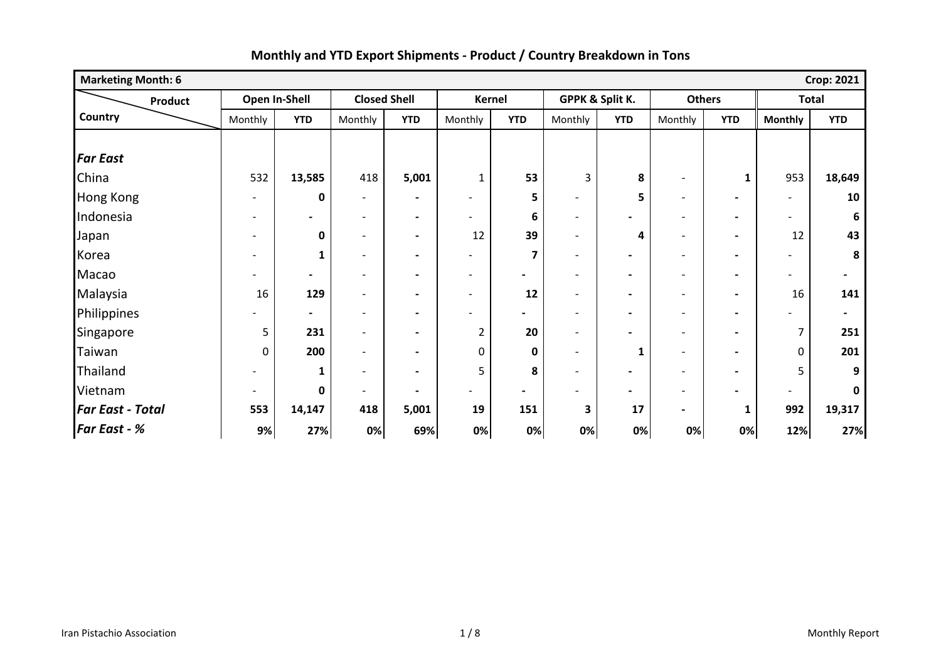| <b>Marketing Month: 6</b> |                          |                          |                          |                              |                          |                          |                          |                          |                          |                          |                          | <b>Crop: 2021</b>        |
|---------------------------|--------------------------|--------------------------|--------------------------|------------------------------|--------------------------|--------------------------|--------------------------|--------------------------|--------------------------|--------------------------|--------------------------|--------------------------|
| <b>Product</b>            |                          | Open In-Shell            | <b>Closed Shell</b>      |                              |                          | <b>Kernel</b>            |                          | GPPK & Split K.          | <b>Others</b>            |                          | <b>Total</b>             |                          |
| Country                   | Monthly                  | <b>YTD</b>               | Monthly                  | <b>YTD</b>                   | Monthly                  | <b>YTD</b>               | Monthly                  | <b>YTD</b>               | Monthly                  | <b>YTD</b>               | <b>Monthly</b>           | <b>YTD</b>               |
|                           |                          |                          |                          |                              |                          |                          |                          |                          |                          |                          |                          |                          |
| <b>Far East</b>           |                          |                          |                          |                              |                          |                          |                          |                          |                          |                          |                          |                          |
| China                     | 532                      | 13,585                   | 418                      | 5,001                        | $\mathbf{1}$             | 53                       | 3                        | 8                        | $\qquad \qquad -$        | $\mathbf{1}$             | 953                      | 18,649                   |
| <b>Hong Kong</b>          | $\overline{\phantom{a}}$ | 0                        | $\overline{\phantom{0}}$ | $\qquad \qquad \blacksquare$ |                          | 5                        | $\overline{\phantom{0}}$ | 5                        | $\overline{\phantom{a}}$ | $\blacksquare$           |                          | 10                       |
| Indonesia                 | $\overline{\phantom{a}}$ | $\overline{\phantom{a}}$ | $\overline{\phantom{a}}$ | $\blacksquare$               | $\overline{\phantom{a}}$ | 6                        | $\overline{\phantom{0}}$ | $\blacksquare$           | $\overline{\phantom{a}}$ | $\blacksquare$           |                          | 6                        |
| Japan                     | $\overline{\phantom{a}}$ | 0                        | $\overline{\phantom{a}}$ | $\qquad \qquad \blacksquare$ | 12                       | 39                       | $\overline{\phantom{0}}$ | 4                        | $\overline{\phantom{a}}$ | $\blacksquare$           | 12                       | 43                       |
| Korea                     | $\overline{\phantom{a}}$ | 1                        | $\overline{\phantom{a}}$ | $\overline{\phantom{a}}$     | $\qquad \qquad$          | 7                        | $\overline{\phantom{a}}$ | $\blacksquare$           | $\overline{\phantom{a}}$ | $\blacksquare$           |                          | 8                        |
| Macao                     |                          | $\blacksquare$           | -                        | $\overline{\phantom{a}}$     | $\overline{\phantom{a}}$ | $\overline{\phantom{0}}$ | $\overline{\phantom{a}}$ | $\overline{\phantom{a}}$ | $\overline{\phantom{a}}$ | $\blacksquare$           | $\overline{\phantom{0}}$ | $\blacksquare$           |
| Malaysia                  | 16                       | 129                      | $\overline{\phantom{0}}$ | $\blacksquare$               | $\blacksquare$           | 12                       | $\overline{\phantom{0}}$ | $\blacksquare$           | $\overline{\phantom{a}}$ | $\blacksquare$           | 16                       | 141                      |
| Philippines               |                          | $\blacksquare$           | $\overline{\phantom{0}}$ | $\blacksquare$               | $\overline{a}$           | -                        | $\overline{\phantom{0}}$ | $\overline{\phantom{0}}$ | $\blacksquare$           | $\overline{\phantom{0}}$ |                          | $\overline{\phantom{a}}$ |
| Singapore                 | 5                        | 231                      | $\overline{\phantom{0}}$ | $\blacksquare$               | 2                        | 20                       | $\blacksquare$           | $\overline{\phantom{0}}$ | $\overline{\phantom{a}}$ | $\overline{\phantom{0}}$ | 7                        | 251                      |
| Taiwan                    | 0                        | 200                      | $\overline{\phantom{a}}$ | $\overline{\phantom{0}}$     | $\mathbf 0$              | 0                        | $\overline{\phantom{a}}$ | 1                        | $\overline{\phantom{a}}$ | $\blacksquare$           | 0                        | 201                      |
| Thailand                  |                          | 1                        | $\overline{\phantom{0}}$ | $\blacksquare$               | 5                        | 8                        | $\overline{\phantom{0}}$ | $\blacksquare$           | $\overline{\phantom{a}}$ | $\blacksquare$           | 5                        | 9                        |
| Vietnam                   | $\overline{\phantom{0}}$ | 0                        | $\overline{\phantom{a}}$ | $\blacksquare$               | $\overline{\phantom{0}}$ | $\overline{\phantom{0}}$ | $\overline{\phantom{0}}$ | $\overline{\phantom{0}}$ | $\overline{\phantom{a}}$ | $\overline{\phantom{0}}$ | $\blacksquare$           | 0                        |
| <b>Far East - Total</b>   | 553                      | 14,147                   | 418                      | 5,001                        | 19                       | 151                      | $\mathbf{3}$             | 17                       | $\overline{\phantom{0}}$ | $\mathbf{1}$             | 992                      | 19,317                   |
| <b>Far East - %</b>       | 9%                       | 27%                      | 0%                       | 69%                          | 0%                       | 0%                       | 0%                       | 0%                       | 0%                       | 0%                       | 12%                      | 27%                      |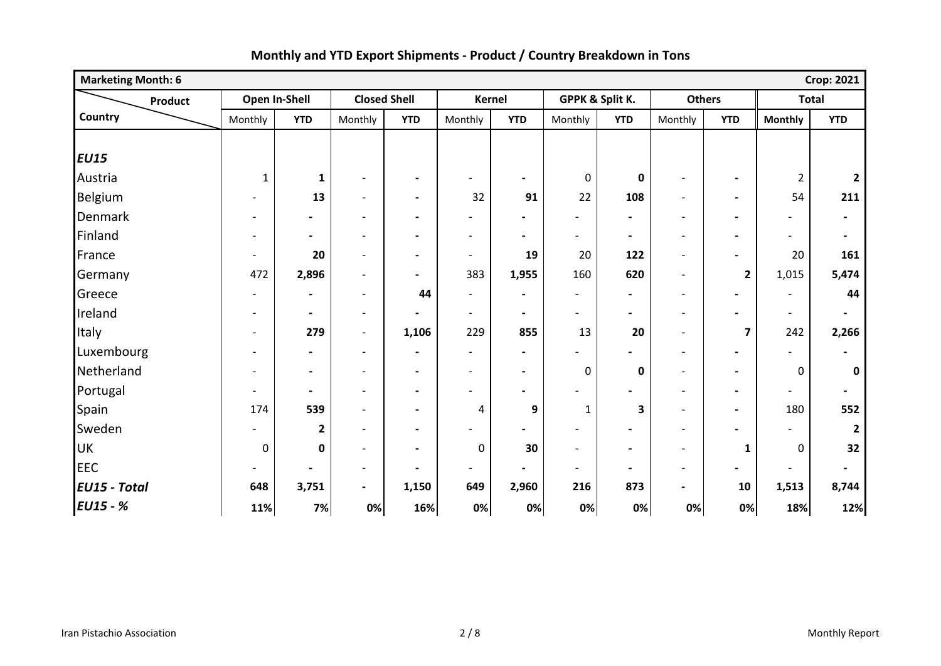| <b>Marketing Month: 6</b> |                          |                              |                              |                              |                          |                          |                          |                          |                          |                          |                          | <b>Crop: 2021</b>        |
|---------------------------|--------------------------|------------------------------|------------------------------|------------------------------|--------------------------|--------------------------|--------------------------|--------------------------|--------------------------|--------------------------|--------------------------|--------------------------|
| Product                   |                          | Open In-Shell                | <b>Closed Shell</b>          |                              |                          | <b>Kernel</b>            |                          | GPPK & Split K.          | <b>Others</b>            |                          | <b>Total</b>             |                          |
| Country                   | Monthly                  | <b>YTD</b>                   | Monthly                      | <b>YTD</b>                   | Monthly                  | <b>YTD</b>               | Monthly                  | <b>YTD</b>               | Monthly                  | <b>YTD</b>               | <b>Monthly</b>           | <b>YTD</b>               |
|                           |                          |                              |                              |                              |                          |                          |                          |                          |                          |                          |                          |                          |
| <b>EU15</b>               |                          |                              |                              |                              |                          |                          |                          |                          |                          |                          |                          |                          |
| Austria                   | $\mathbf{1}$             | $\mathbf{1}$                 | $\qquad \qquad \blacksquare$ | $\blacksquare$               | -                        | $\blacksquare$           | 0                        | $\pmb{0}$                |                          |                          | $\overline{2}$           | $\overline{2}$           |
| Belgium                   |                          | 13                           | $\overline{\phantom{a}}$     | $\blacksquare$               | 32                       | 91                       | 22                       | 108                      | $\overline{\phantom{a}}$ | $\blacksquare$           | 54                       | 211                      |
| Denmark                   | $\overline{\phantom{a}}$ | $\blacksquare$               | $\overline{\phantom{a}}$     | $\blacksquare$               | $\overline{\phantom{a}}$ | $\blacksquare$           |                          | $\overline{\phantom{a}}$ | $\overline{\phantom{a}}$ | $\overline{\phantom{a}}$ | $\overline{\phantom{a}}$ | $\overline{\phantom{a}}$ |
| Finland                   |                          | $\overline{\phantom{a}}$     | $\qquad \qquad -$            | $\blacksquare$               | $\overline{\phantom{a}}$ | $\overline{\phantom{a}}$ | $\overline{\phantom{a}}$ | $\blacksquare$           | $\overline{\phantom{a}}$ | $\blacksquare$           | $\blacksquare$           | $\overline{\phantom{a}}$ |
| France                    | $\overline{\phantom{a}}$ | 20                           | $\overline{\phantom{a}}$     | $\blacksquare$               | $\blacksquare$           | 19                       | 20                       | 122                      | $\overline{\phantom{a}}$ | $\overline{\phantom{a}}$ | 20                       | 161                      |
| Germany                   | 472                      | 2,896                        | $\overline{\phantom{a}}$     | $\overline{\phantom{a}}$     | 383                      | 1,955                    | 160                      | 620                      | $\blacksquare$           | $\overline{\mathbf{2}}$  | 1,015                    | 5,474                    |
| Greece                    | $\blacksquare$           | $\blacksquare$               | $\overline{\phantom{a}}$     | 44                           | $\overline{a}$           | $\blacksquare$           | $\overline{\phantom{a}}$ | $\blacksquare$           | $\overline{\phantom{a}}$ | $\blacksquare$           | $\overline{\phantom{a}}$ | 44                       |
| Ireland                   | $\blacksquare$           | $\blacksquare$               | $\overline{\phantom{a}}$     | $\blacksquare$               | $\overline{\phantom{a}}$ | $\blacksquare$           | $\overline{\phantom{a}}$ | $\overline{\phantom{a}}$ | $\overline{\phantom{a}}$ | $\blacksquare$           | $\blacksquare$           | $\blacksquare$           |
| Italy                     | $\overline{a}$           | 279                          | $\overline{\phantom{a}}$     | 1,106                        | 229                      | 855                      | 13                       | 20                       | $\overline{\phantom{a}}$ | $\overline{7}$           | 242                      | 2,266                    |
| Luxembourg                |                          | $\overline{\phantom{a}}$     | $\overline{\phantom{a}}$     | $\blacksquare$               | $\blacksquare$           | $\blacksquare$           |                          |                          |                          | $\overline{\phantom{a}}$ | $\blacksquare$           | $\overline{\phantom{a}}$ |
| Netherland                | $\overline{\phantom{0}}$ | $\blacksquare$               | $\overline{\phantom{a}}$     | $\blacksquare$               | $\overline{\phantom{a}}$ | $\blacksquare$           | $\mathbf 0$              | $\mathbf 0$              | $\overline{\phantom{a}}$ | $\blacksquare$           | $\pmb{0}$                | 0                        |
| Portugal                  | $\overline{\phantom{a}}$ | $\blacksquare$               | $\overline{\phantom{a}}$     | $\blacksquare$               | $\overline{a}$           | $\blacksquare$           |                          |                          | $\overline{\phantom{a}}$ | $\blacksquare$           | $\overline{\phantom{a}}$ | $\blacksquare$           |
| Spain                     | 174                      | 539                          | $\overline{\phantom{a}}$     | $\overline{\phantom{a}}$     | 4                        | 9                        | 1                        | 3                        | $\blacksquare$           | $\blacksquare$           | 180                      | 552                      |
| Sweden                    |                          | $\overline{2}$               | $\overline{\phantom{a}}$     | $\qquad \qquad \blacksquare$ |                          |                          |                          |                          |                          |                          |                          | $\overline{2}$           |
| <b>UK</b>                 | $\pmb{0}$                | $\mathbf 0$                  | $\overline{\phantom{a}}$     | $\overline{\phantom{a}}$     | 0                        | 30                       | $\blacksquare$           | $\overline{\phantom{a}}$ | $\blacksquare$           | $\mathbf{1}$             | 0                        | 32                       |
| <b>EEC</b>                | $\overline{\phantom{a}}$ | $\qquad \qquad \blacksquare$ | $\overline{\phantom{a}}$     | $\blacksquare$               | $\overline{a}$           | $\overline{\phantom{0}}$ | $\overline{\phantom{a}}$ | $\blacksquare$           | $\overline{\phantom{a}}$ | $\blacksquare$           | $\overline{\phantom{a}}$ | $\blacksquare$           |
| <b>EU15 - Total</b>       | 648                      | 3,751                        | $\blacksquare$               | 1,150                        | 649                      | 2,960                    | 216                      | 873                      | $\blacksquare$           | 10                       | 1,513                    | 8,744                    |
| $EUI5 - %$                | 11%                      | 7%                           | 0%                           | 16%                          | 0%                       | 0%                       | 0%                       | 0%                       | 0%                       | 0%                       | 18%                      | 12%                      |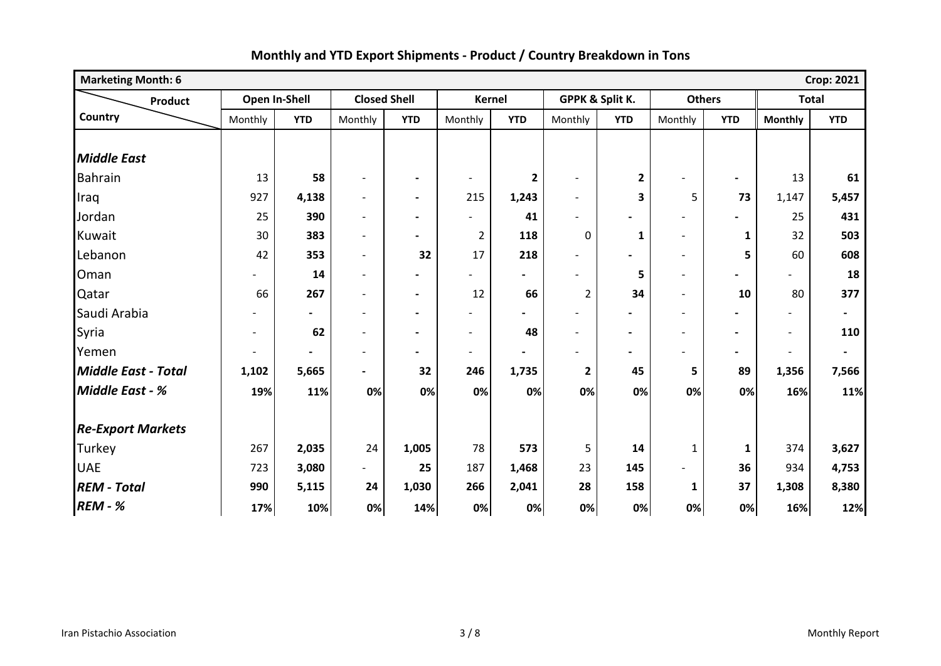| <b>Marketing Month: 6</b><br><b>Crop: 2021</b> |                          |                |                          |                          |                          |                |                          |              |                          |                          |                          |                          |
|------------------------------------------------|--------------------------|----------------|--------------------------|--------------------------|--------------------------|----------------|--------------------------|--------------|--------------------------|--------------------------|--------------------------|--------------------------|
| <b>Product</b>                                 |                          | Open In-Shell  | <b>Closed Shell</b>      |                          |                          | <b>Kernel</b>  | GPPK & Split K.          |              | <b>Others</b>            |                          | <b>Total</b>             |                          |
| Country                                        | Monthly                  | <b>YTD</b>     | Monthly                  | <b>YTD</b>               | Monthly                  | <b>YTD</b>     | Monthly                  | <b>YTD</b>   | Monthly                  | <b>YTD</b>               | <b>Monthly</b>           | <b>YTD</b>               |
|                                                |                          |                |                          |                          |                          |                |                          |              |                          |                          |                          |                          |
| <b>Middle East</b>                             |                          |                |                          |                          |                          |                |                          |              |                          |                          |                          |                          |
| <b>Bahrain</b>                                 | 13                       | 58             | $\overline{\phantom{a}}$ | $\blacksquare$           | $\overline{\phantom{a}}$ | $\mathbf{2}$   | $\overline{\phantom{a}}$ | $\mathbf{2}$ |                          | $\overline{\phantom{0}}$ | 13                       | 61                       |
| Iraq                                           | 927                      | 4,138          | $\overline{\phantom{a}}$ | $\overline{\phantom{a}}$ | 215                      | 1,243          | $\overline{\phantom{a}}$ | 3            | 5                        | 73                       | 1,147                    | 5,457                    |
| Jordan                                         | 25                       | 390            | $\overline{a}$           | $\blacksquare$           | $\overline{\phantom{a}}$ | 41             |                          |              |                          | $\blacksquare$           | 25                       | 431                      |
| Kuwait                                         | 30                       | 383            | $\overline{a}$           | $\overline{\phantom{a}}$ | $\overline{2}$           | 118            | 0                        | $\mathbf{1}$ | $\blacksquare$           | $\mathbf{1}$             | 32                       | 503                      |
| Lebanon                                        | 42                       | 353            | $\overline{\phantom{a}}$ | 32                       | 17                       | 218            |                          |              | $\overline{\phantom{a}}$ | 5                        | 60                       | 608                      |
| Oman                                           |                          | 14             | $\overline{a}$           | $\blacksquare$           |                          | $\blacksquare$ |                          | 5            |                          | $\blacksquare$           |                          | 18                       |
| Qatar                                          | 66                       | 267            | $\blacksquare$           | $\overline{\phantom{a}}$ | 12                       | 66             | $\overline{2}$           | 34           | $\overline{\phantom{a}}$ | 10                       | 80                       | 377                      |
| Saudi Arabia                                   |                          | $\blacksquare$ | $\overline{a}$           | $\blacksquare$           | $\overline{\phantom{0}}$ |                |                          |              | $\overline{\phantom{a}}$ |                          | $\overline{\phantom{a}}$ | $\blacksquare$           |
| Syria                                          | $\overline{\phantom{0}}$ | 62             | $\overline{\phantom{0}}$ | $\blacksquare$           | $\overline{\phantom{a}}$ | 48             |                          |              |                          | $\overline{\phantom{0}}$ | $\overline{\phantom{a}}$ | 110                      |
| Yemen                                          |                          |                | $\overline{a}$           | $\blacksquare$           | $\overline{\phantom{0}}$ |                |                          |              |                          | $\overline{\phantom{0}}$ | $\overline{\phantom{a}}$ | $\overline{\phantom{a}}$ |
| <b>Middle East - Total</b>                     | 1,102                    | 5,665          | $\blacksquare$           | 32                       | 246                      | 1,735          | $\mathbf{2}$             | 45           | 5                        | 89                       | 1,356                    | 7,566                    |
| <b>Middle East - %</b>                         | 19%                      | 11%            | 0%                       | 0%                       | 0%                       | 0%             | 0%                       | 0%           | 0%                       | 0%                       | 16%                      | 11%                      |
|                                                |                          |                |                          |                          |                          |                |                          |              |                          |                          |                          |                          |
| <b>Re-Export Markets</b>                       |                          |                |                          |                          |                          |                |                          |              |                          |                          |                          |                          |
| Turkey                                         | 267                      | 2,035          | 24                       | 1,005                    | 78                       | 573            | 5                        | 14           | 1                        | $\mathbf{1}$             | 374                      | 3,627                    |
| <b>UAE</b>                                     | 723                      | 3,080          | $\overline{a}$           | 25                       | 187                      | 1,468          | 23                       | 145          |                          | 36                       | 934                      | 4,753                    |
| <b>REM - Total</b>                             | 990                      | 5,115          | 24                       | 1,030                    | 266                      | 2,041          | 28                       | 158          | 1                        | 37                       | 1,308                    | 8,380                    |
| <b>REM - %</b>                                 | 17%                      | 10%            | 0%                       | 14%                      | 0%                       | 0%             | 0%                       | 0%           | 0%                       | 0%                       | 16%                      | 12%                      |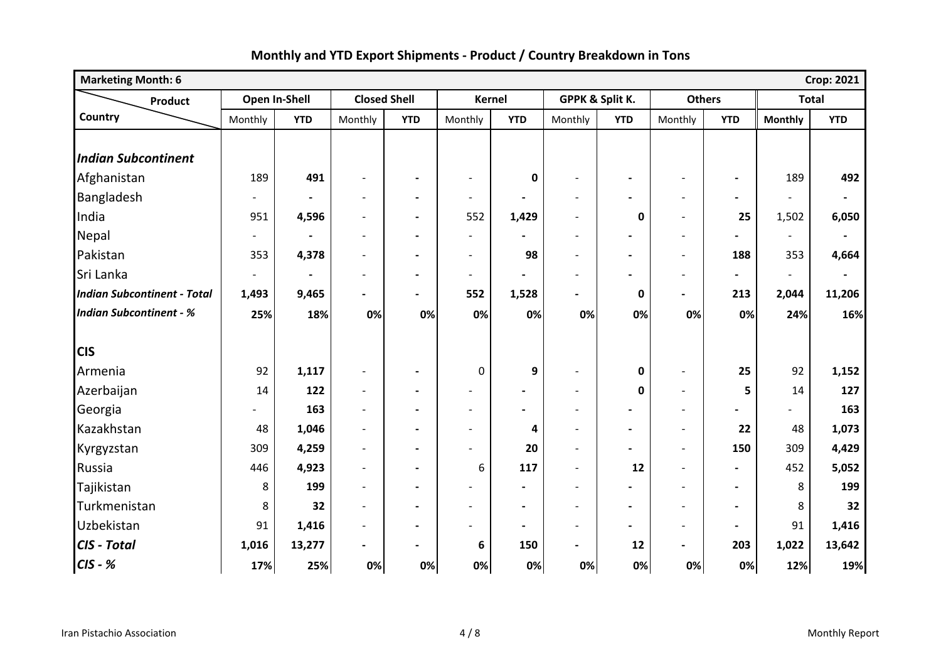| <b>Marketing Month: 6</b><br><b>Crop: 2021</b> |                          |               |                          |                          |                          |                          |                          |                          |                          |                |                          |                |
|------------------------------------------------|--------------------------|---------------|--------------------------|--------------------------|--------------------------|--------------------------|--------------------------|--------------------------|--------------------------|----------------|--------------------------|----------------|
| <b>Product</b>                                 |                          | Open In-Shell | <b>Closed Shell</b>      |                          | <b>Kernel</b>            |                          |                          | GPPK & Split K.          | <b>Others</b>            |                | <b>Total</b>             |                |
| Country                                        | Monthly                  | <b>YTD</b>    | Monthly                  | <b>YTD</b>               | Monthly                  | <b>YTD</b>               | Monthly                  | <b>YTD</b>               | Monthly                  | <b>YTD</b>     | <b>Monthly</b>           | <b>YTD</b>     |
| <b>Indian Subcontinent</b>                     |                          |               |                          |                          |                          |                          |                          |                          |                          |                |                          |                |
| Afghanistan                                    | 189                      | 491           |                          |                          | $\blacksquare$           | $\mathbf 0$              | $\overline{a}$           |                          | $\overline{\phantom{a}}$ | $\blacksquare$ | 189                      | 492            |
| Bangladesh                                     | $\overline{\phantom{a}}$ |               | $\overline{a}$           | $\overline{\phantom{a}}$ | $\overline{\phantom{a}}$ |                          | $\blacksquare$           |                          | $\overline{\phantom{a}}$ | $\blacksquare$ |                          |                |
| India                                          | 951                      | 4,596         | $\overline{a}$           | $\blacksquare$           | 552                      | 1,429                    | $\overline{\phantom{a}}$ | $\mathbf 0$              | $\overline{\phantom{a}}$ | 25             | 1,502                    | 6,050          |
| Nepal                                          |                          |               | $\overline{\phantom{a}}$ | $\blacksquare$           | $\blacksquare$           |                          | $\overline{\phantom{a}}$ |                          | $\overline{\phantom{a}}$ |                | $\blacksquare$           | $\blacksquare$ |
| Pakistan                                       | 353                      | 4,378         | $\overline{a}$           | $\blacksquare$           | $\overline{\phantom{a}}$ | 98                       | $\blacksquare$           | $\overline{\phantom{0}}$ | $\overline{\phantom{a}}$ | 188            | 353                      | 4,664          |
| Sri Lanka                                      | $\overline{\phantom{a}}$ |               | $\overline{\phantom{a}}$ | $\blacksquare$           | $\overline{\phantom{a}}$ | $\blacksquare$           | $\overline{\phantom{a}}$ |                          | $\blacksquare$           | $\blacksquare$ | $\overline{\phantom{a}}$ |                |
| <b>Indian Subcontinent - Total</b>             | 1,493                    | 9,465         | $\overline{\phantom{0}}$ | $\blacksquare$           | 552                      | 1,528                    | $\blacksquare$           | 0                        | $\blacksquare$           | 213            | 2,044                    | 11,206         |
| <b>Indian Subcontinent - %</b>                 | 25%                      | 18%           | 0%                       | 0%                       | 0%                       | 0%                       | 0%                       | 0%                       | 0%                       | 0%             | 24%                      | 16%            |
|                                                |                          |               |                          |                          |                          |                          |                          |                          |                          |                |                          |                |
| <b>CIS</b>                                     |                          |               |                          |                          |                          |                          |                          |                          |                          |                |                          |                |
| Armenia                                        | 92                       | 1,117         | $\overline{\phantom{a}}$ | $\blacksquare$           | 0                        | 9                        | $\blacksquare$           | $\mathbf 0$              | $\overline{\phantom{a}}$ | 25             | 92                       | 1,152          |
| Azerbaijan                                     | 14                       | 122           | $\overline{a}$           | $\overline{\phantom{a}}$ | $\overline{\phantom{a}}$ | $\overline{\phantom{a}}$ | $\overline{\phantom{a}}$ | $\mathbf 0$              | $\overline{\phantom{a}}$ | 5              | 14                       | 127            |
| Georgia                                        |                          | 163           | $\overline{a}$           | $\overline{\phantom{a}}$ | $\blacksquare$           | $\blacksquare$           | $\overline{\phantom{a}}$ |                          | $\overline{\phantom{a}}$ |                |                          | 163            |
| Kazakhstan                                     | 48                       | 1,046         | $\overline{a}$           | $\blacksquare$           | $\blacksquare$           | 4                        | $\blacksquare$           | $\blacksquare$           | $\overline{\phantom{a}}$ | 22             | 48                       | 1,073          |
| Kyrgyzstan                                     | 309                      | 4,259         |                          |                          |                          | 20                       | $\blacksquare$           |                          | $\overline{\phantom{a}}$ | 150            | 309                      | 4,429          |
| Russia                                         | 446                      | 4,923         | $\overline{a}$           | $\overline{\phantom{a}}$ | 6                        | 117                      | $\overline{a}$           | 12                       | $\overline{\phantom{a}}$ | $\blacksquare$ | 452                      | 5,052          |
| Tajikistan                                     | 8                        | 199           |                          | $\blacksquare$           | $\blacksquare$           |                          | $\blacksquare$           |                          | $\blacksquare$           | $\blacksquare$ | 8                        | 199            |
| Turkmenistan                                   | 8                        | 32            | $\blacksquare$           | $\blacksquare$           | $\blacksquare$           | $\blacksquare$           | $\blacksquare$           | $\blacksquare$           | $\blacksquare$           | $\blacksquare$ | 8                        | 32             |
| Uzbekistan                                     | 91                       | 1,416         | $\overline{a}$           | $\blacksquare$           | $\overline{\phantom{0}}$ | $\blacksquare$           | $\overline{\phantom{a}}$ | $\blacksquare$           | $\overline{\phantom{a}}$ | $\blacksquare$ | 91                       | 1,416          |
| CIS - Total                                    | 1,016                    | 13,277        | $\blacksquare$           | $\blacksquare$           | 6                        | 150                      | $\blacksquare$           | 12                       | $\blacksquare$           | 203            | 1,022                    | 13,642         |
| $CIS - K$                                      | 17%                      | 25%           | 0%                       | 0%                       | 0%                       | 0%                       | 0%                       | 0%                       | 0%                       | 0%             | 12%                      | 19%            |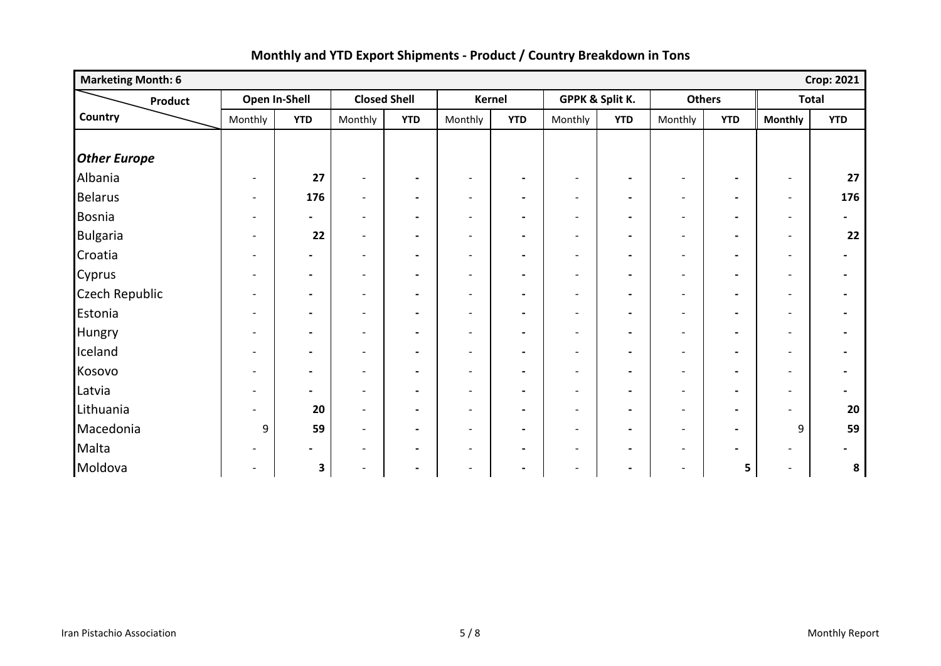| <b>Marketing Month: 6</b> |                              |                |                          |                          |                              |                          |                          |                          |                          |                          |                          | <b>Crop: 2021</b>        |
|---------------------------|------------------------------|----------------|--------------------------|--------------------------|------------------------------|--------------------------|--------------------------|--------------------------|--------------------------|--------------------------|--------------------------|--------------------------|
| Product                   |                              | Open In-Shell  |                          | <b>Closed Shell</b>      |                              | Kernel                   |                          | GPPK & Split K.          | <b>Others</b>            |                          | <b>Total</b>             |                          |
| Country                   | Monthly                      | <b>YTD</b>     | Monthly                  | <b>YTD</b>               | Monthly                      | <b>YTD</b>               | Monthly                  | <b>YTD</b>               | Monthly                  | <b>YTD</b>               | <b>Monthly</b>           | <b>YTD</b>               |
|                           |                              |                |                          |                          |                              |                          |                          |                          |                          |                          |                          |                          |
| <b>Other Europe</b>       |                              |                |                          |                          |                              |                          |                          |                          |                          |                          |                          |                          |
| Albania                   | $\overline{a}$               | 27             | $\overline{\phantom{a}}$ | $\blacksquare$           | $\overline{\phantom{a}}$     | $\blacksquare$           | $\overline{\phantom{a}}$ | $\overline{\phantom{a}}$ | $\overline{\phantom{a}}$ | $\blacksquare$           | $\overline{\phantom{a}}$ | 27                       |
| <b>Belarus</b>            | $\overline{\phantom{a}}$     | 176            | $\blacksquare$           | $\blacksquare$           | $\overline{\phantom{a}}$     | $\blacksquare$           | $\overline{\phantom{a}}$ | $\overline{\phantom{a}}$ | $\overline{\phantom{a}}$ | $\blacksquare$           | $\overline{\phantom{a}}$ | 176                      |
| Bosnia                    | $\qquad \qquad \blacksquare$ | $\blacksquare$ | $\overline{\phantom{a}}$ | $\blacksquare$           | $\overline{\phantom{a}}$     | $\blacksquare$           | $\overline{\phantom{a}}$ | $\overline{\phantom{a}}$ | $\overline{\phantom{a}}$ | $\overline{\phantom{a}}$ | $\overline{\phantom{a}}$ | $\overline{\phantom{a}}$ |
| <b>Bulgaria</b>           |                              | 22             | $\overline{\phantom{a}}$ | $\blacksquare$           | $\overline{\phantom{a}}$     | $\blacksquare$           | $\overline{\phantom{a}}$ | $\overline{\phantom{a}}$ | $\overline{\phantom{a}}$ | $\overline{\phantom{a}}$ | $\overline{\phantom{a}}$ | 22                       |
| Croatia                   |                              | $\blacksquare$ | $\blacksquare$           | $\blacksquare$           | $\overline{\phantom{0}}$     | $\blacksquare$           | $\overline{\phantom{a}}$ | $\blacksquare$           | $\overline{\phantom{a}}$ | $\blacksquare$           | $\overline{\phantom{a}}$ |                          |
| Cyprus                    | $\overline{\phantom{0}}$     | $\blacksquare$ | $\overline{\phantom{a}}$ | $\blacksquare$           | $\overline{\phantom{a}}$     | $\blacksquare$           | $\overline{\phantom{a}}$ | $\overline{\phantom{a}}$ | $\overline{\phantom{a}}$ | $\blacksquare$           | $\overline{\phantom{a}}$ |                          |
| <b>Czech Republic</b>     |                              | $\blacksquare$ | $\overline{\phantom{a}}$ | $\overline{\phantom{a}}$ | $\overline{\phantom{a}}$     | $\blacksquare$           | $\overline{\phantom{a}}$ | $\blacksquare$           | $\overline{\phantom{a}}$ | $\overline{\phantom{a}}$ | $\overline{\phantom{a}}$ |                          |
| Estonia                   | $\overline{\phantom{0}}$     | $\blacksquare$ | $\overline{\phantom{a}}$ | $\blacksquare$           | $\overline{\phantom{a}}$     | $\blacksquare$           | $\overline{\phantom{a}}$ | $\blacksquare$           | $\overline{\phantom{a}}$ | $\blacksquare$           | $\overline{\phantom{a}}$ |                          |
| Hungry                    |                              | $\blacksquare$ | $\overline{\phantom{a}}$ | $\overline{\phantom{a}}$ | $\overline{\phantom{a}}$     | $\overline{\phantom{a}}$ | $\blacksquare$           | $\blacksquare$           | $\overline{\phantom{a}}$ | $\blacksquare$           | $\overline{\phantom{a}}$ |                          |
| Iceland                   | $\overline{\phantom{0}}$     | $\blacksquare$ | $\overline{\phantom{a}}$ | $\blacksquare$           | $\overline{\phantom{a}}$     | $\blacksquare$           | $\overline{\phantom{a}}$ | $\overline{\phantom{a}}$ | $\overline{\phantom{a}}$ | $\overline{\phantom{a}}$ | $\overline{\phantom{a}}$ |                          |
| Kosovo                    |                              | $\blacksquare$ | $\overline{\phantom{a}}$ | $\blacksquare$           | $\qquad \qquad \blacksquare$ | $\overline{\phantom{a}}$ | $\overline{\phantom{a}}$ | $\overline{\phantom{a}}$ | $\overline{\phantom{a}}$ | $\blacksquare$           | $\overline{\phantom{a}}$ |                          |
| Latvia                    | $\overline{\phantom{a}}$     | $\blacksquare$ | $\overline{\phantom{a}}$ | $\blacksquare$           | $\overline{\phantom{a}}$     | $\blacksquare$           | $\overline{\phantom{a}}$ | $\blacksquare$           | $\overline{\phantom{a}}$ | $\blacksquare$           | $\overline{\phantom{a}}$ |                          |
| Lithuania                 |                              | 20             | $\overline{\phantom{a}}$ | $\hbox{--}$              | $\qquad \qquad \blacksquare$ | $\blacksquare$           | $\overline{\phantom{a}}$ | $\overline{\phantom{a}}$ | $\overline{\phantom{a}}$ | $\blacksquare$           | $\overline{\phantom{0}}$ | 20                       |
| Macedonia                 | 9                            | 59             | $\overline{\phantom{a}}$ | $\blacksquare$           | $\overline{\phantom{a}}$     | $\blacksquare$           | $\overline{\phantom{a}}$ | $\blacksquare$           | $\overline{\phantom{a}}$ | $\blacksquare$           | 9                        | 59                       |
| Malta                     |                              | $\blacksquare$ | $\overline{\phantom{a}}$ | $\blacksquare$           | $\overline{\phantom{a}}$     | $\blacksquare$           | $\overline{\phantom{a}}$ | $\overline{\phantom{a}}$ | $\overline{\phantom{a}}$ | $\blacksquare$           | -                        |                          |
| Moldova                   |                              | 3              | $\overline{\phantom{a}}$ | $\blacksquare$           | $\overline{\phantom{a}}$     | $\blacksquare$           | $\overline{\phantom{a}}$ | $\overline{\phantom{a}}$ | $\overline{\phantom{a}}$ | 5                        | $\overline{\phantom{a}}$ | 8                        |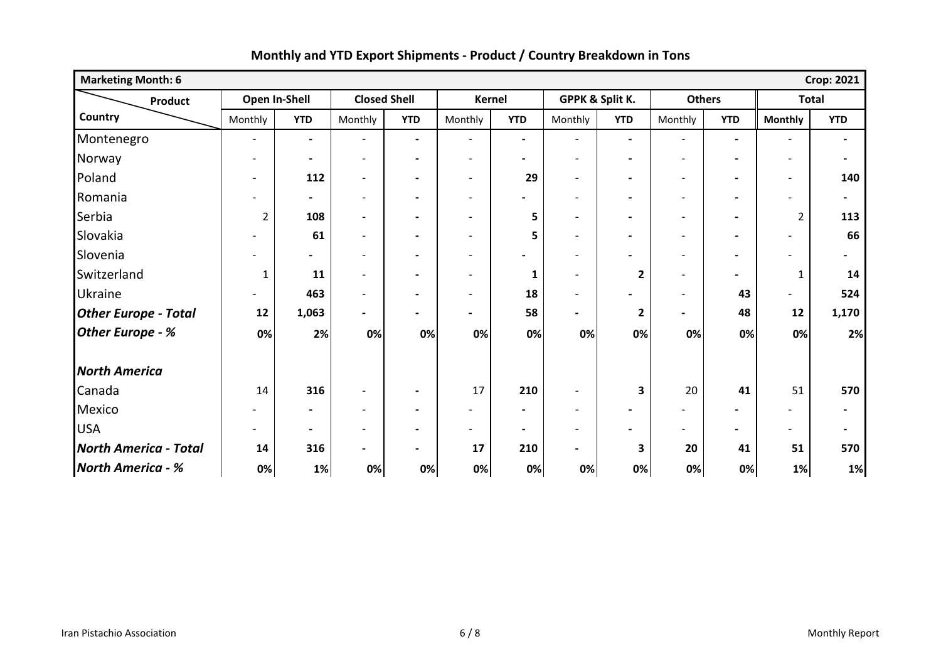| <b>Marketing Month: 6</b>    |                          |                          |                              |                              |                              |                |                          |                |                          |                          |                          | <b>Crop: 2021</b> |
|------------------------------|--------------------------|--------------------------|------------------------------|------------------------------|------------------------------|----------------|--------------------------|----------------|--------------------------|--------------------------|--------------------------|-------------------|
| Product                      | Open In-Shell            |                          | <b>Closed Shell</b>          |                              | Kernel                       |                | GPPK & Split K.          |                | <b>Others</b>            |                          | <b>Total</b>             |                   |
| Country                      | Monthly                  | <b>YTD</b>               | Monthly                      | <b>YTD</b>                   | Monthly                      | <b>YTD</b>     | Monthly                  | <b>YTD</b>     | Monthly                  | <b>YTD</b>               | <b>Monthly</b>           | <b>YTD</b>        |
| Montenegro                   | $\overline{\phantom{a}}$ | $\blacksquare$           | $\overline{\phantom{a}}$     | $\blacksquare$               | $\overline{\phantom{a}}$     | $\blacksquare$ | $\overline{\phantom{a}}$ | $\blacksquare$ | $\overline{\phantom{a}}$ | $\blacksquare$           | $\blacksquare$           | $\blacksquare$    |
| Norway                       | $\overline{\phantom{0}}$ | $\blacksquare$           | $\overline{\phantom{a}}$     | $\blacksquare$               | $\overline{\phantom{a}}$     | $\blacksquare$ | $\overline{\phantom{a}}$ | $\blacksquare$ | $\overline{\phantom{a}}$ | $\blacksquare$           | $\blacksquare$           | $\blacksquare$    |
| Poland                       | $\overline{\phantom{0}}$ | 112                      | $\overline{a}$               | $\blacksquare$               | $\overline{\phantom{0}}$     | 29             | $\blacksquare$           | $\blacksquare$ | $\blacksquare$           | $\blacksquare$           | $\overline{\phantom{a}}$ | 140               |
| Romania                      | $\overline{\phantom{a}}$ | $\blacksquare$           | $\qquad \qquad -$            | $\blacksquare$               | $\overline{\phantom{a}}$     | $\blacksquare$ | $\overline{\phantom{a}}$ | $\blacksquare$ | $\overline{\phantom{a}}$ | $\blacksquare$           | $\overline{\phantom{a}}$ | $\blacksquare$    |
| Serbia                       | $\overline{2}$           | 108                      | $\qquad \qquad -$            | $\blacksquare$               | $\blacksquare$               | 5              | $\overline{\phantom{a}}$ | $\blacksquare$ | $\overline{\phantom{a}}$ | $\blacksquare$           | $\overline{2}$           | 113               |
| Slovakia                     |                          | 61                       | $\overline{\phantom{a}}$     | $\blacksquare$               | $\blacksquare$               | 5              | $\blacksquare$           | $\blacksquare$ | $\overline{\phantom{a}}$ | $\blacksquare$           | $\overline{\phantom{a}}$ | 66                |
| Slovenia                     |                          | $\overline{\phantom{0}}$ | $\overline{a}$               |                              | $\overline{a}$               |                | $\overline{\phantom{0}}$ |                | $\overline{\phantom{0}}$ |                          |                          |                   |
| Switzerland                  | $\mathbf{1}$             | 11                       | $\overline{\phantom{0}}$     | $\overline{\phantom{0}}$     | $\overline{\phantom{0}}$     | 1              | $\blacksquare$           | $\mathbf{2}$   | $\blacksquare$           | $\overline{\phantom{0}}$ | 1                        | 14                |
| <b>Ukraine</b>               |                          | 463                      | $\overline{a}$               | $\overline{\phantom{0}}$     | $\blacksquare$               | 18             | $\blacksquare$           |                | $\overline{\phantom{a}}$ | 43                       |                          | 524               |
| <b>Other Europe - Total</b>  | 12                       | 1,063                    | $\blacksquare$               | $\qquad \qquad \blacksquare$ | $\blacksquare$               | 58             | $\blacksquare$           | $\mathbf{2}$   | $\blacksquare$           | 48                       | 12                       | 1,170             |
| <b>Other Europe - %</b>      | 0%                       | 2%                       | 0%                           | 0%                           | 0%                           | 0%             | 0%                       | 0%             | 0%                       | 0%                       | 0%                       | 2%                |
| <b>North America</b>         |                          |                          |                              |                              |                              |                |                          |                |                          |                          |                          |                   |
| Canada                       | 14                       | 316                      | $\overline{\phantom{a}}$     | $\blacksquare$               | 17                           | 210            | $\overline{\phantom{a}}$ | 3              | 20                       | 41                       | 51                       | 570               |
| Mexico                       |                          | $\blacksquare$           | $\qquad \qquad \blacksquare$ | $\qquad \qquad \blacksquare$ | $\qquad \qquad \blacksquare$ | $\blacksquare$ | $\overline{\phantom{a}}$ | $\blacksquare$ |                          |                          |                          | $\blacksquare$    |
| <b>USA</b>                   | $\overline{\phantom{0}}$ | $\blacksquare$           | $\overline{\phantom{0}}$     | $\qquad \qquad \blacksquare$ | $\overline{\phantom{0}}$     | $\blacksquare$ | $\blacksquare$           | $\blacksquare$ | $\overline{\phantom{a}}$ | $\overline{\phantom{0}}$ |                          | $\blacksquare$    |
| <b>North America - Total</b> | 14                       | 316                      | $\qquad \qquad \blacksquare$ | $\overline{\phantom{0}}$     | 17                           | 210            | $\blacksquare$           | 3              | 20                       | 41                       | 51                       | 570               |
| <b>North America - %</b>     | 0%                       | 1%                       | 0%                           | 0%                           | 0%                           | 0%             | 0%                       | 0%             | 0%                       | 0%                       | 1%                       | 1%                |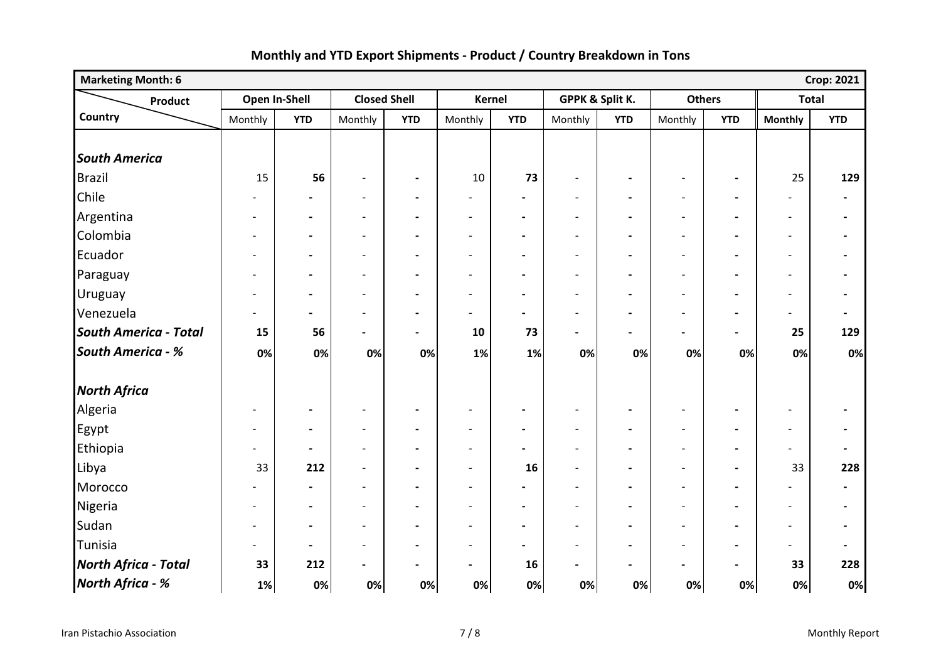| <b>Marketing Month: 6</b>    |                          |                          |                              |                          |                              |                          |                          |                          |                          |                          |                          | <b>Crop: 2021</b>            |
|------------------------------|--------------------------|--------------------------|------------------------------|--------------------------|------------------------------|--------------------------|--------------------------|--------------------------|--------------------------|--------------------------|--------------------------|------------------------------|
| Product                      | Open In-Shell            |                          | <b>Closed Shell</b>          |                          | <b>Kernel</b>                |                          | GPPK & Split K.          |                          | <b>Others</b>            |                          | <b>Total</b>             |                              |
| Country                      | Monthly                  | <b>YTD</b>               | Monthly                      | <b>YTD</b>               | Monthly                      | <b>YTD</b>               | Monthly                  | <b>YTD</b>               | Monthly                  | <b>YTD</b>               | <b>Monthly</b>           | <b>YTD</b>                   |
|                              |                          |                          |                              |                          |                              |                          |                          |                          |                          |                          |                          |                              |
| <b>South America</b>         |                          |                          |                              |                          |                              |                          |                          |                          |                          |                          |                          |                              |
| <b>Brazil</b>                | 15                       | 56                       | $\overline{\phantom{a}}$     | $\blacksquare$           | $10\,$                       | 73                       | $\overline{\phantom{a}}$ | $\blacksquare$           | $\overline{\phantom{a}}$ | $\blacksquare$           | 25                       | 129                          |
| Chile                        |                          | -                        | $\overline{\phantom{a}}$     | $\blacksquare$           | $\overline{\phantom{a}}$     | $\overline{\phantom{a}}$ | $\overline{\phantom{a}}$ | $\blacksquare$           | $\overline{\phantom{a}}$ | $\blacksquare$           | $\overline{\phantom{a}}$ | $\blacksquare$               |
| Argentina                    | $\overline{\phantom{a}}$ | $\blacksquare$           | $\overline{\phantom{a}}$     | $\blacksquare$           | $\qquad \qquad \blacksquare$ | $\blacksquare$           | $\overline{\phantom{a}}$ | $\blacksquare$           | $\overline{\phantom{a}}$ | $\overline{\phantom{a}}$ | $\overline{\phantom{a}}$ | $\blacksquare$               |
| Colombia                     | $\overline{\phantom{a}}$ | $\blacksquare$           | $\overline{\phantom{a}}$     | $\blacksquare$           | $\overline{\phantom{a}}$     | $\blacksquare$           | $\overline{\phantom{a}}$ | $\blacksquare$           | $\overline{\phantom{a}}$ | $\blacksquare$           | $\overline{\phantom{a}}$ | $\blacksquare$               |
| Ecuador                      | $\overline{\phantom{a}}$ | $\hbox{--}$              | $\overline{\phantom{a}}$     | $\hbox{--}$              | $\overline{a}$               | $\blacksquare$           | $\overline{\phantom{a}}$ | $\overline{\phantom{a}}$ | $\overline{\phantom{a}}$ | $\blacksquare$           | $\overline{\phantom{a}}$ | $\overline{\phantom{a}}$     |
| Paraguay                     | $\overline{\phantom{0}}$ | $\hbox{--}$              | $\qquad \qquad -$            | $\hbox{--}$              | $\overline{\phantom{a}}$     | $\blacksquare$           | $\overline{\phantom{a}}$ | $\overline{\phantom{a}}$ | $\overline{\phantom{a}}$ | $\blacksquare$           | $\overline{\phantom{a}}$ | $\overline{\phantom{a}}$     |
| Uruguay                      | $\overline{\phantom{0}}$ | $\overline{\phantom{a}}$ | $\overline{a}$               | $\overline{\phantom{a}}$ | $\overline{a}$               | $\overline{\phantom{a}}$ | $\overline{\phantom{a}}$ |                          |                          | $\blacksquare$           | $\overline{\phantom{a}}$ | $\overline{\phantom{a}}$     |
| Venezuela                    | $\overline{\phantom{0}}$ | $\blacksquare$           | $\qquad \qquad \blacksquare$ | $\blacksquare$           | $\overline{\phantom{a}}$     | $\blacksquare$           | $\overline{\phantom{a}}$ | $\blacksquare$           | $\overline{\phantom{a}}$ | $\blacksquare$           | $\overline{\phantom{a}}$ | $\blacksquare$               |
| <b>South America - Total</b> | 15                       | 56                       | $\overline{\phantom{0}}$     | $\overline{\phantom{0}}$ | ${\bf 10}$                   | 73                       | $\blacksquare$           | $\blacksquare$           |                          | $\blacksquare$           | 25                       | 129                          |
| <b>South America - %</b>     | 0%                       | 0%                       | 0%                           | 0%                       | 1%                           | 1%                       | 0%                       | 0%                       | 0%                       | 0%                       | 0%                       | 0%                           |
| <b>North Africa</b>          |                          |                          |                              |                          |                              |                          |                          |                          |                          |                          |                          |                              |
| Algeria                      | $\overline{\phantom{a}}$ | $\hbox{--}$              | $\overline{\phantom{a}}$     | $\blacksquare$           | $\overline{a}$               | $\blacksquare$           | $\overline{\phantom{a}}$ | $\blacksquare$           | $\overline{\phantom{a}}$ | $\overline{\phantom{a}}$ | $\blacksquare$           | $\overline{\phantom{a}}$     |
| Egypt                        | $\overline{\phantom{a}}$ | $\blacksquare$           | $\overline{\phantom{a}}$     | $\blacksquare$           | $\overline{a}$               | $\blacksquare$           | $\overline{\phantom{a}}$ | $\blacksquare$           | $\overline{\phantom{a}}$ | $\blacksquare$           | $\overline{\phantom{a}}$ | $\blacksquare$               |
| Ethiopia                     | $\overline{\phantom{a}}$ | $\overline{\phantom{a}}$ | $\overline{\phantom{a}}$     | $\blacksquare$           | $\overline{a}$               | $\blacksquare$           | $\overline{\phantom{a}}$ |                          | $\overline{\phantom{a}}$ | $\blacksquare$           | $\overline{\phantom{a}}$ | $\qquad \qquad \blacksquare$ |
| Libya                        | 33                       | 212                      | $\overline{\phantom{0}}$     | $\blacksquare$           | $\overline{\phantom{a}}$     | 16                       | $\blacksquare$           | $\blacksquare$           | $\overline{\phantom{a}}$ | $\blacksquare$           | 33                       | 228                          |
| Morocco                      |                          | $\blacksquare$           | $\overline{\phantom{0}}$     | $\blacksquare$           | $\overline{\phantom{a}}$     | $\blacksquare$           | $\blacksquare$           | $\blacksquare$           | $\overline{\phantom{a}}$ | $\blacksquare$           | $\overline{\phantom{0}}$ | $\blacksquare$               |
| Nigeria                      | $\overline{\phantom{a}}$ | $\blacksquare$           | $\overline{\phantom{a}}$     | $\blacksquare$           | $\overline{a}$               | $\overline{\phantom{a}}$ | $\overline{\phantom{a}}$ | $\blacksquare$           | $\overline{\phantom{a}}$ | $\blacksquare$           | $\overline{\phantom{a}}$ | $\blacksquare$               |
| Sudan                        | $\overline{\phantom{0}}$ | $\blacksquare$           | $\blacksquare$               | $\overline{\phantom{a}}$ | $\overline{a}$               | $\blacksquare$           | $\blacksquare$           | $\blacksquare$           | $\overline{\phantom{a}}$ | $\overline{\phantom{a}}$ | $\overline{\phantom{a}}$ | $\blacksquare$               |
| Tunisia                      | $\overline{\phantom{0}}$ | $\blacksquare$           | $\overline{\phantom{a}}$     | $\overline{\phantom{a}}$ | $\overline{\phantom{a}}$     | $\blacksquare$           | $\overline{\phantom{a}}$ |                          | $\overline{\phantom{a}}$ | $\overline{\phantom{a}}$ | $\blacksquare$           | $\overline{\phantom{a}}$     |
| <b>North Africa - Total</b>  | 33                       | 212                      | $\qquad \qquad \blacksquare$ | $\overline{\phantom{a}}$ | $\blacksquare$               | 16                       | $\blacksquare$           | $\blacksquare$           | $\overline{\phantom{a}}$ | $\blacksquare$           | 33                       | 228                          |
| North Africa - %             | 1%                       | 0%                       | 0%                           | 0%                       | 0%                           | 0%                       | 0%                       | 0%                       | 0%                       | 0%                       | 0%                       | 0%                           |